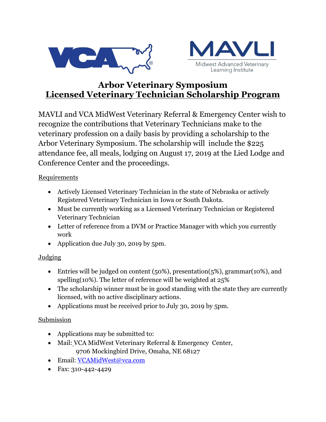



# **Arbor Veterinary Symposium Licensed Veterinary Technician Scholarship Program**

MAVLI and VCA MidWest Veterinary Referral & Emergency Center wish to recognize the contributions that Veterinary Technicians make to the veterinary profession on a daily basis by providing a scholarship to the Arbor Veterinary Symposium. The scholarship will include the \$225 attendance fee, all meals, lodging on August 17, 2019 at the Lied Lodge and Conference Center and the proceedings.

#### **Requirements**

- Actively Licensed Veterinary Technician in the state of Nebraska or actively Registered Veterinary Technician in Iowa or South Dakota.
- Must be currently working as a Licensed Veterinary Technician or Registered Veterinary Technician
- Letter of reference from a DVM or Practice Manager with which you currently work
- Application due July 30, 2019 by 5pm.

### **Judging**

- Entries will be judged on content (50%), presentation(5%), grammar(10%), and spelling(10%). The letter of reference will be weighted at 25%
- The scholarship winner must be in good standing with the state they are currently licensed, with no active disciplinary actions.
- Applications must be received prior to July 30, 2019 by 5pm.

### Submission

- Applications may be submitted to:
- Mail: VCA MidWest Veterinary Referral & Emergency Center, 9706 Mockingbird Drive, Omaha, NE 68127
- Email: [VCAMidWest@vca.com](mailto:VCAMidWest@vca.com)
- Fax: 310-442-4429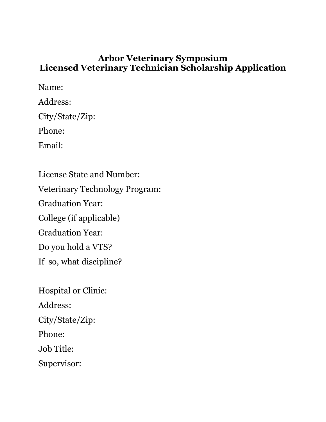### **Arbor Veterinary Symposium Licensed Veterinary Technician Scholarship Application**

Name: Address: City/State/Zip: Phone: Email: License State and Number: Veterinary Technology Program: Graduation Year: College (if applicable) Graduation Year: Do you hold a VTS? If so, what discipline?

Hospital or Clinic: Address: City/State/Zip: Phone: Job Title: Supervisor: